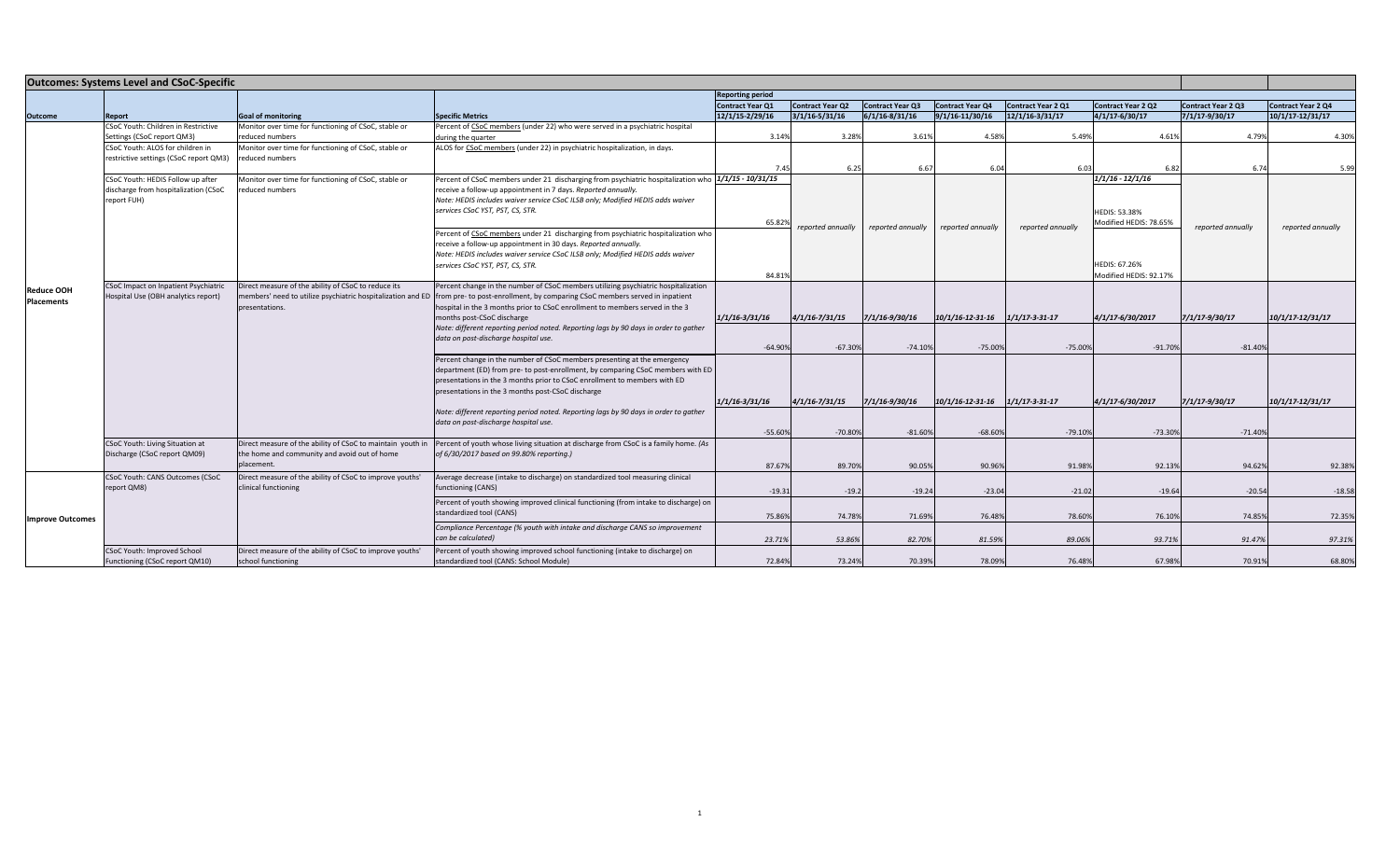| <b>Outcomes: Systems Level and CSoC-Specific</b> |                                                                                                                              |                                                            |                                                                                                                                       |                         |                         |                         |                         |                        |                           |                           |                           |
|--------------------------------------------------|------------------------------------------------------------------------------------------------------------------------------|------------------------------------------------------------|---------------------------------------------------------------------------------------------------------------------------------------|-------------------------|-------------------------|-------------------------|-------------------------|------------------------|---------------------------|---------------------------|---------------------------|
|                                                  |                                                                                                                              |                                                            |                                                                                                                                       | <b>Reporting period</b> |                         |                         |                         |                        |                           |                           |                           |
|                                                  |                                                                                                                              |                                                            |                                                                                                                                       | <b>Contract Year Q1</b> | <b>Contract Year Q2</b> | <b>Contract Year Q3</b> | <b>Contract Year Q4</b> | Contract Year 2 Q1     | <b>Contract Year 2 Q2</b> | <b>Contract Year 2 Q3</b> | <b>Contract Year 2 Q4</b> |
| <b>Outcome</b>                                   | Report                                                                                                                       | <b>Goal of monitoring</b>                                  | <b>Specific Metrics</b>                                                                                                               | 12/1/15-2/29/16         | $3/1/16 - 5/31/16$      | $6/1/16 - 8/31/16$      | 9/1/16-11/30/16         | $12/1/16 - 3/31/17$    | $4/1/17 - 6/30/17$        | $7/1/17 - 9/30/17$        | $10/1/17 - 12/31/17$      |
|                                                  | CSoC Youth: Children in Restrictive                                                                                          | Monitor over time for functioning of CSoC, stable or       | Percent of CSoC members (under 22) who were served in a psychiatric hospital                                                          |                         |                         |                         |                         |                        |                           |                           |                           |
|                                                  | Settings (CSoC report QM3)                                                                                                   | educed numbers                                             | during the quarter                                                                                                                    | 3.14%                   | 3.28%                   | 3.61%                   | 4.58%                   | 5.49%                  | 4.61%                     | 4.79%                     | 4.30%                     |
|                                                  | CSoC Youth: ALOS for children in                                                                                             | Monitor over time for functioning of CSoC, stable or       | ALOS for CSoC members (under 22) in psychiatric hospitalization, in days.                                                             |                         |                         |                         |                         |                        |                           |                           |                           |
|                                                  | restrictive settings (CSoC report QM3)                                                                                       | educed numbers                                             |                                                                                                                                       | 7.45                    |                         |                         |                         |                        | 6.82                      |                           |                           |
|                                                  | CSoC Youth: HEDIS Follow up after                                                                                            | Monitor over time for functioning of CSoC, stable or       | Percent of CSoC members under 21 discharging from psychiatric hospitalization who 1/1/15 - 10/31/15                                   |                         | 6.25                    | 6.67                    | 6.04                    | 6.03                   | $1/1/16 - 12/1/16$        | 6.74                      | 5.99                      |
|                                                  | discharge from hospitalization (CSoC<br>educed numbers                                                                       |                                                            | receive a follow-up appointment in 7 days. Reported annually.                                                                         |                         |                         |                         |                         |                        |                           |                           |                           |
|                                                  | report FUH)                                                                                                                  |                                                            | Note: HEDIS includes waiver service CSoC ILSB only; Modified HEDIS adds waiver                                                        |                         |                         |                         |                         |                        |                           |                           |                           |
|                                                  |                                                                                                                              |                                                            | services CSoC YST, PST, CS, STR.                                                                                                      |                         |                         |                         |                         |                        | <b>HEDIS: 53.38%</b>      |                           |                           |
|                                                  |                                                                                                                              |                                                            |                                                                                                                                       | 65.829                  |                         |                         |                         |                        | Modified HEDIS: 78.65%    |                           |                           |
|                                                  |                                                                                                                              |                                                            | Percent of CSoC members under 21 discharging from psychiatric hospitalization who                                                     | reported annually       |                         | reported annually       | reported annually       | reported annually      |                           | reported annually         | reported annually         |
|                                                  |                                                                                                                              |                                                            | receive a follow-up appointment in 30 days. Reported annually.                                                                        |                         |                         |                         |                         |                        |                           |                           |                           |
|                                                  |                                                                                                                              |                                                            | Note: HEDIS includes waiver service CSoC ILSB only; Modified HEDIS adds waiver                                                        |                         |                         |                         |                         |                        |                           |                           |                           |
|                                                  |                                                                                                                              |                                                            | services CSoC YST, PST, CS, STR.                                                                                                      |                         |                         |                         |                         |                        | <b>HEDIS: 67.26%</b>      |                           |                           |
|                                                  |                                                                                                                              |                                                            |                                                                                                                                       | 84.81%                  |                         |                         |                         |                        | Modified HEDIS: 92.17%    |                           |                           |
|                                                  | CSoC Impact on Inpatient Psychiatric                                                                                         | Direct measure of the ability of CSoC to reduce its        | Percent change in the number of CSoC members utilizing psychiatric hospitalization                                                    |                         |                         |                         |                         |                        |                           |                           |                           |
| <b>Reduce OOH</b><br><b>Placements</b>           | Hospital Use (OBH analytics report)                                                                                          |                                                            | embers' need to utilize psychiatric hospitalization and ED from pre-to post-enrollment, by comparing CSoC members served in inpatient |                         |                         |                         |                         |                        |                           |                           |                           |
|                                                  |                                                                                                                              | presentations.                                             | hospital in the 3 months prior to CSoC enrollment to members served in the 3                                                          |                         |                         |                         |                         |                        |                           |                           |                           |
|                                                  |                                                                                                                              |                                                            | months post-CSoC discharge                                                                                                            | $1/1/16 - 3/31/16$      | $4/1/16 - 7/31/15$      | 7/1/16-9/30/16          | 10/1/16-12-31-16        | $1/1/17 - 3 - 31 - 17$ | 4/1/17-6/30/2017          | 7/1/17-9/30/17            | 10/1/17-12/31/17          |
|                                                  |                                                                                                                              |                                                            | Note: different reporting period noted. Reporting lags by 90 days in order to gather                                                  |                         |                         |                         |                         |                        |                           |                           |                           |
|                                                  |                                                                                                                              |                                                            | data on post-discharge hospital use.                                                                                                  |                         |                         |                         |                         |                        |                           |                           |                           |
|                                                  |                                                                                                                              |                                                            |                                                                                                                                       | $-64.90%$               | $-67.30%$               | $-74.10%$               | $-75.00%$               | $-75.00%$              | $-91.70%$                 | $-81.40%$                 |                           |
|                                                  |                                                                                                                              |                                                            | Percent change in the number of CSoC members presenting at the emergency                                                              |                         |                         |                         |                         |                        |                           |                           |                           |
|                                                  |                                                                                                                              |                                                            | department (ED) from pre- to post-enrollment, by comparing CSoC members with ED                                                       |                         |                         |                         |                         |                        |                           |                           |                           |
|                                                  |                                                                                                                              |                                                            | presentations in the 3 months prior to CSoC enrollment to members with ED<br>presentations in the 3 months post-CSoC discharge        |                         |                         |                         |                         |                        |                           |                           |                           |
|                                                  |                                                                                                                              |                                                            |                                                                                                                                       | $1/1/16 - 3/31/16$      | $4/1/16 - 7/31/15$      | 7/1/16-9/30/16          | 10/1/16-12-31-16        | $1/1/17 - 3 - 31 - 17$ | 4/1/17-6/30/2017          | 7/1/17-9/30/17            | 10/1/17-12/31/17          |
|                                                  | Note: different reporting period noted. Reporting lags by 90 days in order to gather<br>data on post-discharge hospital use. |                                                            |                                                                                                                                       |                         |                         |                         |                         |                        |                           |                           |                           |
|                                                  |                                                                                                                              |                                                            |                                                                                                                                       |                         |                         |                         |                         |                        |                           |                           |                           |
|                                                  |                                                                                                                              |                                                            |                                                                                                                                       | $-55.60%$               | $-70.80%$               | $-81.60%$               | $-68.60%$               | $-79.10%$              | $-73.30%$                 | $-71.40%$                 |                           |
|                                                  | CSoC Youth: Living Situation at                                                                                              | Direct measure of the ability of CSoC to maintain youth in | Percent of youth whose living situation at discharge from CSoC is a family home. (As                                                  |                         |                         |                         |                         |                        |                           |                           |                           |
|                                                  | Discharge (CSoC report QM09)                                                                                                 | the home and community and avoid out of home               | of 6/30/2017 based on 99.80% reporting.)                                                                                              |                         |                         |                         |                         |                        |                           |                           |                           |
|                                                  | placement                                                                                                                    |                                                            |                                                                                                                                       | 87.67%                  | 89.70%                  | 90.05%                  | 90.96%                  | 91.98%                 | 92.13%                    | 94.62%                    | 92.38%                    |
| <b>Improve Outcomes</b>                          | CSoC Youth: CANS Outcomes (CSoC                                                                                              | Direct measure of the ability of CSoC to improve youths'   | Average decrease (intake to discharge) on standardized tool measuring clinical                                                        |                         |                         |                         |                         |                        |                           |                           |                           |
|                                                  | report QM8)                                                                                                                  | clinical functioning                                       | functioning (CANS)                                                                                                                    | $-19.31$                | $-19.2$                 | $-19.24$                | $-23.04$                | $-21.02$               | $-19.64$                  | $-20.54$                  | $-18.58$                  |
|                                                  |                                                                                                                              |                                                            | Percent of youth showing improved clinical functioning (from intake to discharge) on                                                  |                         |                         |                         |                         |                        |                           |                           |                           |
|                                                  |                                                                                                                              |                                                            | standardized tool (CANS)                                                                                                              |                         |                         |                         |                         |                        |                           |                           |                           |
|                                                  |                                                                                                                              |                                                            |                                                                                                                                       | 75.86%                  | 74.78%                  | 71.69%                  | 76.48%                  | 78.60%                 | 76.10%                    | 74.85%                    | 72.35%                    |
|                                                  |                                                                                                                              |                                                            | Compliance Percentage (% youth with intake and discharge CANS so improvement<br>can be calculated)                                    |                         |                         |                         |                         |                        |                           |                           |                           |
|                                                  |                                                                                                                              |                                                            |                                                                                                                                       | 23.71%                  | 53.86%                  | 82.70%                  | 81.59%                  | 89.06%                 | 93.71%                    | 91.47%                    | 97.31%                    |
|                                                  | CSoC Youth: Improved School                                                                                                  | Direct measure of the ability of CSoC to improve youths'   | Percent of youth showing improved school functioning (intake to discharge) on                                                         |                         |                         |                         |                         |                        |                           |                           |                           |
|                                                  | Functioning (CSoC report QM10)                                                                                               | school functioning                                         | standardized tool (CANS: School Module)                                                                                               | 72.84%                  | 73.24%                  | 70.39%                  | 78.09%                  | 76.48%                 | 67.98%                    | 70.91%                    | 68.80%                    |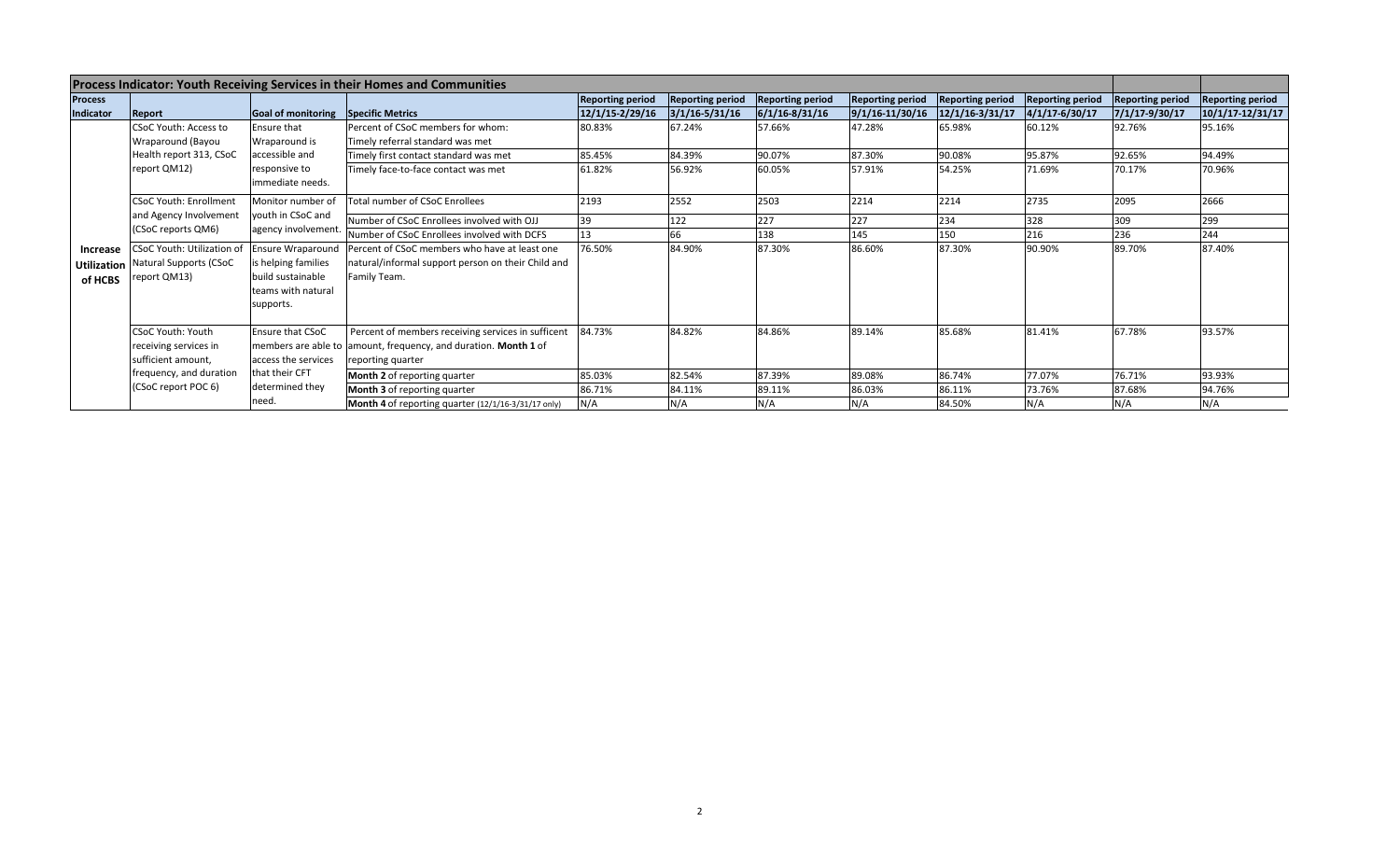| Process Indicator: Youth Receiving Services in their Homes and Communities |                                                                                                                           |                                                                                                         |                                                                                                                                            |                         |                         |                         |                         |                         |                         |                         |                         |
|----------------------------------------------------------------------------|---------------------------------------------------------------------------------------------------------------------------|---------------------------------------------------------------------------------------------------------|--------------------------------------------------------------------------------------------------------------------------------------------|-------------------------|-------------------------|-------------------------|-------------------------|-------------------------|-------------------------|-------------------------|-------------------------|
| <b>Process</b>                                                             |                                                                                                                           |                                                                                                         |                                                                                                                                            | <b>Reporting period</b> | <b>Reporting period</b> | <b>Reporting period</b> | <b>Reporting period</b> | <b>Reporting period</b> | <b>Reporting period</b> | <b>Reporting period</b> | <b>Reporting period</b> |
| Indicator                                                                  | Report                                                                                                                    | Goal of monitoring Specific Metrics                                                                     |                                                                                                                                            | 12/1/15-2/29/16         | $3/1/16 - 5/31/16$      | $6/1/16 - 8/31/16$      | $9/1/16 - 11/30/16$     | $12/1/16 - 3/31/17$     | 4/1/17-6/30/17          | 7/1/17-9/30/17          | $10/1/17 - 12/31/17$    |
| <b>Increase</b><br>of HCBS                                                 | CSoC Youth: Access to<br>Wraparound (Bayou<br>Health report 313, CSoC<br>report QM12)                                     | Ensure that<br>Wraparound is                                                                            | Percent of CSoC members for whom:<br>Timely referral standard was met                                                                      | 80.83%                  | 67.24%                  | 57.66%                  | 47.28%                  | 65.98%                  | 60.12%                  | 92.76%                  | 95.16%                  |
|                                                                            |                                                                                                                           | accessible and<br>responsive to<br>immediate needs.                                                     | Timely first contact standard was met                                                                                                      | 85.45%                  | 84.39%                  | 90.07%                  | 87.30%                  | 90.08%                  | 95.87%                  | 92.65%                  | 94.49%                  |
|                                                                            |                                                                                                                           |                                                                                                         | Timely face-to-face contact was met                                                                                                        | 61.82%                  | 56.92%                  | 60.05%                  | 57.91%                  | 54.25%                  | 71.69%                  | 70.17%                  | 70.96%                  |
|                                                                            | <b>CSoC Youth: Enrollment</b><br>and Agency Involvement<br>(CSoC reports QM6)                                             | Monitor number of<br>youth in CSoC and<br>agency involvement.                                           | <b>Total number of CSoC Enrollees</b>                                                                                                      | 2193                    | 2552                    | 2503                    | 2214                    | 2214                    | 2735                    | 2095                    | 2666                    |
|                                                                            |                                                                                                                           |                                                                                                         | Number of CSoC Enrollees involved with OJJ                                                                                                 |                         | 122                     | 227                     | 227                     | 234                     | 328                     | 309                     | 299                     |
|                                                                            |                                                                                                                           |                                                                                                         | Number of CSoC Enrollees involved with DCFS                                                                                                |                         | 66                      | L38                     | 145                     | 150                     | 216                     | 236                     | 244                     |
|                                                                            | CSoC Youth: Utilization of<br><b>Utilization Natural Supports (CSoC</b><br>report QM13)                                   | <b>Ensure Wraparound</b><br>is helping families<br>build sustainable<br>teams with natural<br>supports. | Percent of CSoC members who have at least one<br>natural/informal support person on their Child and<br>Family Team.                        | 76.50%                  | 84.90%                  | 87.30%                  | 86.60%                  | 87.30%                  | 90.90%                  | 89.70%                  | 87.40%                  |
|                                                                            | <b>CSoC Youth: Youth</b><br>receiving services in<br>sufficient amount,<br>frequency, and duration<br>(CSoC report POC 6) | <b>Ensure that CSoC</b><br>access the services<br>that their CFT<br>determined they<br>need.            | Percent of members receiving services in sufficent<br>members are able to amount, frequency, and duration. Month 1 of<br>reporting quarter | 84.73%                  | 84.82%                  | 84.86%                  | 89.14%                  | 85.68%                  | 81.41%                  | 67.78%                  | 93.57%                  |
|                                                                            |                                                                                                                           |                                                                                                         | Month 2 of reporting quarter                                                                                                               | 85.03%                  | 82.54%                  | 87.39%                  | 89.08%                  | 86.74%                  | 77.07%                  | 76.71%                  | 93.93%                  |
|                                                                            |                                                                                                                           |                                                                                                         | Month 3 of reporting quarter                                                                                                               | 86.71%                  | 84.11%                  | 89.11%                  | 86.03%                  | 86.11%                  | 73.76%                  | 87.68%                  | 94.76%                  |
|                                                                            |                                                                                                                           |                                                                                                         | Month 4 of reporting quarter (12/1/16-3/31/17 only)                                                                                        | N/A                     | N/A                     | N/A                     | N/A                     | 84.50%                  | N/A                     | N/A                     | N/A                     |